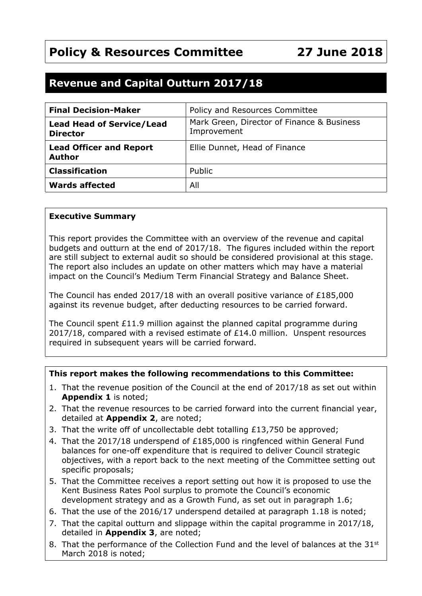# **Policy & Resources Committee 27 June 2018**

# **Revenue and Capital Outturn 2017/18**

| <b>Final Decision-Maker</b>                         | Policy and Resources Committee                            |
|-----------------------------------------------------|-----------------------------------------------------------|
| <b>Lead Head of Service/Lead</b><br><b>Director</b> | Mark Green, Director of Finance & Business<br>Improvement |
| <b>Lead Officer and Report</b><br><b>Author</b>     | Ellie Dunnet, Head of Finance                             |
| <b>Classification</b>                               | Public                                                    |
| <b>Wards affected</b>                               | All                                                       |

#### **Executive Summary**

This report provides the Committee with an overview of the revenue and capital budgets and outturn at the end of 2017/18. The figures included within the report are still subject to external audit so should be considered provisional at this stage. The report also includes an update on other matters which may have a material impact on the Council's Medium Term Financial Strategy and Balance Sheet.

The Council has ended 2017/18 with an overall positive variance of  $£185,000$ against its revenue budget, after deducting resources to be carried forward.

The Council spent £11.9 million against the planned capital programme during  $2017/18$ , compared with a revised estimate of £14.0 million. Unspent resources required in subsequent years will be carried forward.

#### **This report makes the following recommendations to this Committee:**

- 1. That the revenue position of the Council at the end of 2017/18 as set out within **Appendix 1** is noted;
- 2. That the revenue resources to be carried forward into the current financial year, detailed at **Appendix 2**, are noted;
- 3. That the write off of uncollectable debt totalling £13,750 be approved;
- 4. That the 2017/18 underspend of £185,000 is ringfenced within General Fund balances for one-off expenditure that is required to deliver Council strategic objectives, with a report back to the next meeting of the Committee setting out specific proposals;
- 5. That the Committee receives a report setting out how it is proposed to use the Kent Business Rates Pool surplus to promote the Council's economic development strategy and as a Growth Fund, as set out in paragraph 1.6;
- 6. That the use of the 2016/17 underspend detailed at paragraph 1.18 is noted;
- 7. That the capital outturn and slippage within the capital programme in 2017/18, detailed in **Appendix 3**, are noted;
- 8. That the performance of the Collection Fund and the level of balances at the 31<sup>st</sup> March 2018 is noted;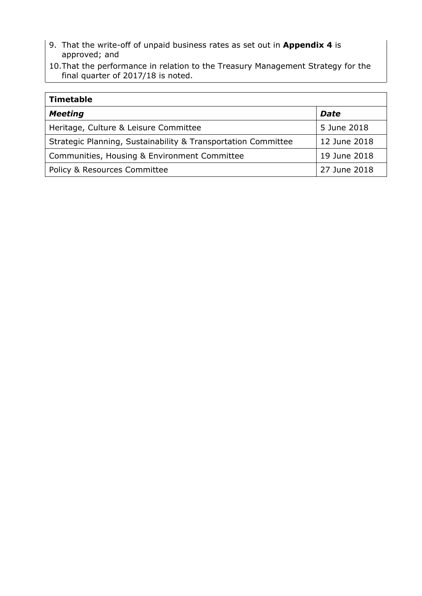- 9. That the write-off of unpaid business rates as set out in **Appendix 4** is approved; and
- 10.That the performance in relation to the Treasury Management Strategy for the final quarter of 2017/18 is noted.

| <b>Timetable</b>                                              |              |
|---------------------------------------------------------------|--------------|
| <b>Meeting</b>                                                | <b>Date</b>  |
| Heritage, Culture & Leisure Committee                         | 5 June 2018  |
| Strategic Planning, Sustainability & Transportation Committee | 12 June 2018 |
| Communities, Housing & Environment Committee                  | 19 June 2018 |
| <b>Policy &amp; Resources Committee</b>                       | 27 June 2018 |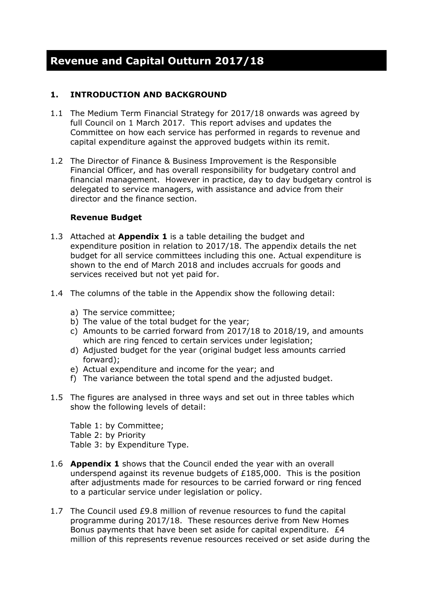# **1. INTRODUCTION AND BACKGROUND**

- 1.1 The Medium Term Financial Strategy for 2017/18 onwards was agreed by full Council on 1 March 2017. This report advises and updates the Committee on how each service has performed in regards to revenue and capital expenditure against the approved budgets within its remit.
- 1.2 The Director of Finance & Business Improvement is the Responsible Financial Officer, and has overall responsibility for budgetary control and financial management. However in practice, day to day budgetary control is delegated to service managers, with assistance and advice from their director and the finance section.

#### **Revenue Budget**

- 1.3 Attached at **Appendix 1** is a table detailing the budget and expenditure position in relation to 2017/18. The appendix details the net budget for all service committees including this one. Actual expenditure is shown to the end of March 2018 and includes accruals for goods and services received but not yet paid for.
- 1.4 The columns of the table in the Appendix show the following detail:
	- a) The service committee;
	- b) The value of the total budget for the year;
	- c) Amounts to be carried forward from 2017/18 to 2018/19, and amounts which are ring fenced to certain services under legislation;
	- d) Adjusted budget for the year (original budget less amounts carried forward);
	- e) Actual expenditure and income for the year; and
	- f) The variance between the total spend and the adjusted budget.
- 1.5 The figures are analysed in three ways and set out in three tables which show the following levels of detail:

Table 1: by Committee; Table 2: by Priority Table 3: by Expenditure Type.

- 1.6 **Appendix 1** shows that the Council ended the year with an overall underspend against its revenue budgets of £185,000. This is the position after adjustments made for resources to be carried forward or ring fenced to a particular service under legislation or policy.
- 1.7 The Council used £9.8 million of revenue resources to fund the capital programme during 2017/18. These resources derive from New Homes Bonus payments that have been set aside for capital expenditure. £4 million of this represents revenue resources received or set aside during the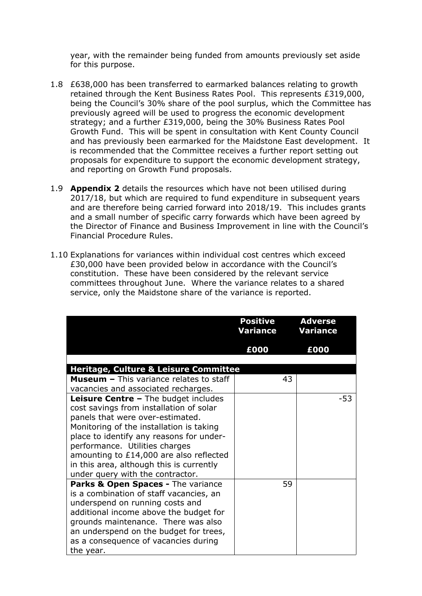year, with the remainder being funded from amounts previously set aside for this purpose.

- 1.8 £638,000 has been transferred to earmarked balances relating to growth retained through the Kent Business Rates Pool. This represents £319,000, being the Council's 30% share of the pool surplus, which the Committee has previously agreed will be used to progress the economic development strategy; and a further £319,000, being the 30% Business Rates Pool Growth Fund. This will be spent in consultation with Kent County Council and has previously been earmarked for the Maidstone East development. It is recommended that the Committee receives a further report setting out proposals for expenditure to support the economic development strategy, and reporting on Growth Fund proposals.
- 1.9 **Appendix 2** details the resources which have not been utilised during 2017/18, but which are required to fund expenditure in subsequent years and are therefore being carried forward into 2018/19. This includes grants and a small number of specific carry forwards which have been agreed by the Director of Finance and Business Improvement in line with the Council's Financial Procedure Rules.
- 1.10 Explanations for variances within individual cost centres which exceed £30,000 have been provided below in accordance with the Council's constitution. These have been considered by the relevant service committees throughout June. Where the variance relates to a shared service, only the Maidstone share of the variance is reported.

|                                                                                                                                                                                                                                                                                                                                                                                 | <b>Positive</b><br>Variance | <b>Adverse</b><br><b>Variance</b> |
|---------------------------------------------------------------------------------------------------------------------------------------------------------------------------------------------------------------------------------------------------------------------------------------------------------------------------------------------------------------------------------|-----------------------------|-----------------------------------|
|                                                                                                                                                                                                                                                                                                                                                                                 | £000                        | £000                              |
| <b>Heritage, Culture &amp; Leisure Committee</b>                                                                                                                                                                                                                                                                                                                                |                             |                                   |
| <b>Museum - This variance relates to staff</b><br>vacancies and associated recharges.                                                                                                                                                                                                                                                                                           | 43                          |                                   |
| <b>Leisure Centre - The budget includes</b><br>cost savings from installation of solar<br>panels that were over-estimated.<br>Monitoring of the installation is taking<br>place to identify any reasons for under-<br>performance. Utilities charges<br>amounting to £14,000 are also reflected<br>in this area, although this is currently<br>under query with the contractor. |                             | -53                               |
| Parks & Open Spaces - The variance<br>is a combination of staff vacancies, an<br>underspend on running costs and<br>additional income above the budget for<br>grounds maintenance. There was also<br>an underspend on the budget for trees,<br>as a consequence of vacancies during<br>the year.                                                                                | 59                          |                                   |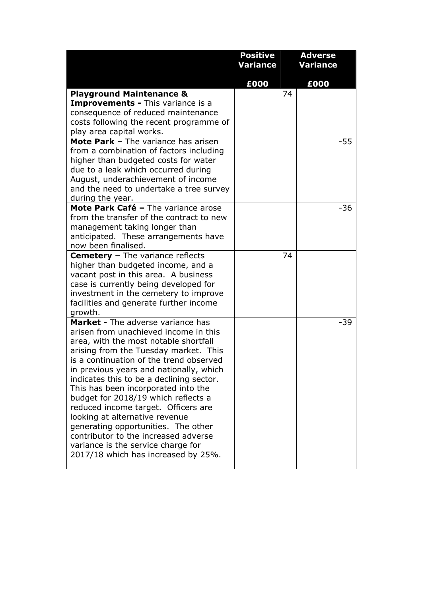|                                                                                | <b>Positive</b> | <b>Adverse</b>  |
|--------------------------------------------------------------------------------|-----------------|-----------------|
|                                                                                | Variance        | <b>Variance</b> |
|                                                                                | £000            | £000            |
| <b>Playground Maintenance &amp;</b>                                            | 74              |                 |
| <b>Improvements - This variance is a</b>                                       |                 |                 |
| consequence of reduced maintenance<br>costs following the recent programme of  |                 |                 |
| play area capital works.                                                       |                 |                 |
| Mote Park - The variance has arisen                                            |                 | $-55$           |
| from a combination of factors including                                        |                 |                 |
| higher than budgeted costs for water                                           |                 |                 |
| due to a leak which occurred during                                            |                 |                 |
| August, underachievement of income<br>and the need to undertake a tree survey  |                 |                 |
| during the year.                                                               |                 |                 |
| Mote Park Café - The variance arose                                            |                 | $-36$           |
| from the transfer of the contract to new                                       |                 |                 |
| management taking longer than                                                  |                 |                 |
| anticipated. These arrangements have                                           |                 |                 |
| now been finalised.                                                            |                 |                 |
| <b>Cemetery - The variance reflects</b><br>higher than budgeted income, and a  | 74              |                 |
| vacant post in this area. A business                                           |                 |                 |
| case is currently being developed for                                          |                 |                 |
| investment in the cemetery to improve                                          |                 |                 |
| facilities and generate further income                                         |                 |                 |
| growth.                                                                        |                 |                 |
| <b>Market - The adverse variance has</b>                                       |                 | -39             |
| arisen from unachieved income in this<br>area, with the most notable shortfall |                 |                 |
| arising from the Tuesday market. This                                          |                 |                 |
| is a continuation of the trend observed                                        |                 |                 |
| in previous years and nationally, which                                        |                 |                 |
| indicates this to be a declining sector.                                       |                 |                 |
| This has been incorporated into the                                            |                 |                 |
| budget for 2018/19 which reflects a                                            |                 |                 |
| reduced income target. Officers are<br>looking at alternative revenue          |                 |                 |
| generating opportunities. The other                                            |                 |                 |
| contributor to the increased adverse                                           |                 |                 |
| variance is the service charge for                                             |                 |                 |
| 2017/18 which has increased by 25%.                                            |                 |                 |
|                                                                                |                 |                 |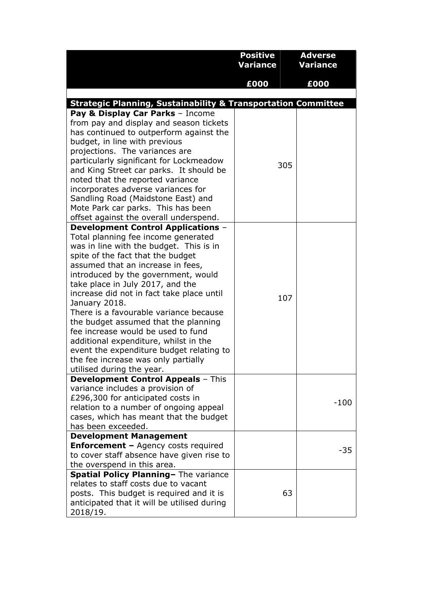|                                                                                    | <b>Positive</b><br>Variance | <b>Adverse</b><br><b>Variance</b> |
|------------------------------------------------------------------------------------|-----------------------------|-----------------------------------|
|                                                                                    | £000                        | £000                              |
|                                                                                    |                             |                                   |
| <b>Strategic Planning, Sustainability &amp; Transportation Committee</b>           |                             |                                   |
| Pay & Display Car Parks - Income                                                   |                             |                                   |
| from pay and display and season tickets                                            |                             |                                   |
| has continued to outperform against the                                            |                             |                                   |
| budget, in line with previous                                                      |                             |                                   |
| projections. The variances are                                                     |                             |                                   |
| particularly significant for Lockmeadow<br>and King Street car parks. It should be | 305                         |                                   |
| noted that the reported variance                                                   |                             |                                   |
| incorporates adverse variances for                                                 |                             |                                   |
| Sandling Road (Maidstone East) and                                                 |                             |                                   |
| Mote Park car parks. This has been                                                 |                             |                                   |
| offset against the overall underspend.                                             |                             |                                   |
| <b>Development Control Applications -</b>                                          |                             |                                   |
| Total planning fee income generated                                                |                             |                                   |
| was in line with the budget. This is in                                            |                             |                                   |
| spite of the fact that the budget                                                  |                             |                                   |
| assumed that an increase in fees,                                                  |                             |                                   |
| introduced by the government, would<br>take place in July 2017, and the            |                             |                                   |
| increase did not in fact take place until                                          |                             |                                   |
| January 2018.                                                                      | 107                         |                                   |
| There is a favourable variance because                                             |                             |                                   |
| the budget assumed that the planning                                               |                             |                                   |
| fee increase would be used to fund                                                 |                             |                                   |
| additional expenditure, whilst in the                                              |                             |                                   |
| event the expenditure budget relating to                                           |                             |                                   |
| the fee increase was only partially                                                |                             |                                   |
| utilised during the year.                                                          |                             |                                   |
| <b>Development Control Appeals - This</b><br>variance includes a provision of      |                             |                                   |
| £296,300 for anticipated costs in                                                  |                             |                                   |
| relation to a number of ongoing appeal                                             |                             | $-100$                            |
| cases, which has meant that the budget                                             |                             |                                   |
| has been exceeded.                                                                 |                             |                                   |
| <b>Development Management</b>                                                      |                             |                                   |
| <b>Enforcement - Agency costs required</b>                                         |                             | $-35$                             |
| to cover staff absence have given rise to                                          |                             |                                   |
| the overspend in this area.                                                        |                             |                                   |
| Spatial Policy Planning- The variance<br>relates to staff costs due to vacant      |                             |                                   |
| posts. This budget is required and it is                                           | 63                          |                                   |
| anticipated that it will be utilised during                                        |                             |                                   |
| 2018/19.                                                                           |                             |                                   |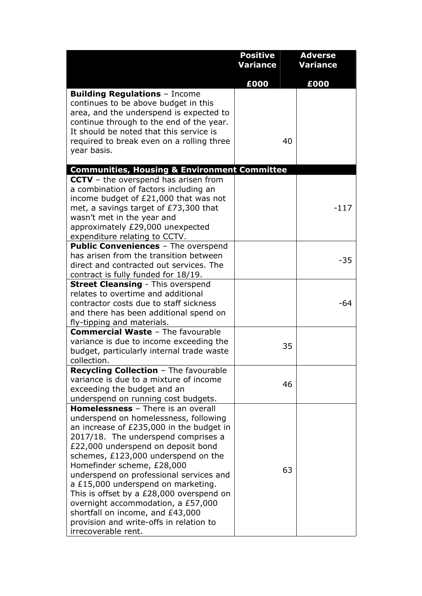|                                                                                                                                                                                                                                                                                                                                                                                                                                                                                                                                                           | <b>Positive</b> | <b>Adverse</b>  |
|-----------------------------------------------------------------------------------------------------------------------------------------------------------------------------------------------------------------------------------------------------------------------------------------------------------------------------------------------------------------------------------------------------------------------------------------------------------------------------------------------------------------------------------------------------------|-----------------|-----------------|
|                                                                                                                                                                                                                                                                                                                                                                                                                                                                                                                                                           | Variance        | <b>Variance</b> |
|                                                                                                                                                                                                                                                                                                                                                                                                                                                                                                                                                           | £000            | £000            |
| <b>Building Regulations - Income</b><br>continues to be above budget in this<br>area, and the underspend is expected to<br>continue through to the end of the year.<br>It should be noted that this service is<br>required to break even on a rolling three<br>year basis.                                                                                                                                                                                                                                                                                | 40              |                 |
| <b>Communities, Housing &amp; Environment Committee</b>                                                                                                                                                                                                                                                                                                                                                                                                                                                                                                   |                 |                 |
| <b>CCTV</b> – the overspend has arisen from<br>a combination of factors including an<br>income budget of £21,000 that was not<br>met, a savings target of £73,300 that<br>wasn't met in the year and<br>approximately £29,000 unexpected<br>expenditure relating to CCTV.                                                                                                                                                                                                                                                                                 |                 | -117            |
| <b>Public Conveniences</b> - The overspend<br>has arisen from the transition between<br>direct and contracted out services. The<br>contract is fully funded for 18/19.                                                                                                                                                                                                                                                                                                                                                                                    |                 | $-35$           |
| <b>Street Cleansing - This overspend</b>                                                                                                                                                                                                                                                                                                                                                                                                                                                                                                                  |                 |                 |
| relates to overtime and additional<br>contractor costs due to staff sickness<br>and there has been additional spend on<br>fly-tipping and materials.                                                                                                                                                                                                                                                                                                                                                                                                      |                 | -64             |
| <b>Commercial Waste - The favourable</b><br>variance is due to income exceeding the<br>budget, particularly internal trade waste<br>collection.                                                                                                                                                                                                                                                                                                                                                                                                           | 35              |                 |
| <b>Recycling Collection</b> - The favourable<br>variance is due to a mixture of income<br>exceeding the budget and an<br>underspend on running cost budgets.                                                                                                                                                                                                                                                                                                                                                                                              | 46              |                 |
| <b>Homelessness</b> - There is an overall<br>underspend on homelessness, following<br>an increase of £235,000 in the budget in<br>2017/18. The underspend comprises a<br>£22,000 underspend on deposit bond<br>schemes, £123,000 underspend on the<br>Homefinder scheme, £28,000<br>underspend on professional services and<br>a £15,000 underspend on marketing.<br>This is offset by a £28,000 overspend on<br>overnight accommodation, a £57,000<br>shortfall on income, and £43,000<br>provision and write-offs in relation to<br>irrecoverable rent. | 63              |                 |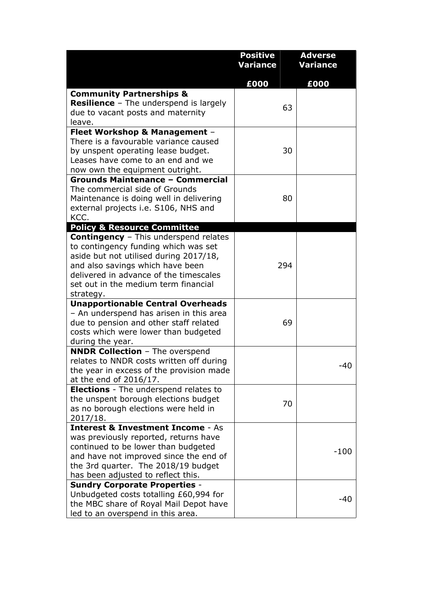|                                                                                      | <b>Positive</b> | <b>Adverse</b>  |
|--------------------------------------------------------------------------------------|-----------------|-----------------|
|                                                                                      | Variance        | <b>Variance</b> |
|                                                                                      | £000            | £000            |
| <b>Community Partnerships &amp;</b>                                                  |                 |                 |
| Resilience - The underspend is largely                                               | 63              |                 |
| due to vacant posts and maternity                                                    |                 |                 |
| leave.<br>Fleet Workshop & Management -                                              |                 |                 |
| There is a favourable variance caused                                                |                 |                 |
| by unspent operating lease budget.                                                   | 30              |                 |
| Leases have come to an end and we                                                    |                 |                 |
| now own the equipment outright.                                                      |                 |                 |
| <b>Grounds Maintenance - Commercial</b>                                              |                 |                 |
| The commercial side of Grounds                                                       |                 |                 |
| Maintenance is doing well in delivering                                              | 80              |                 |
| external projects i.e. S106, NHS and                                                 |                 |                 |
| KCC.                                                                                 |                 |                 |
| <b>Policy &amp; Resource Committee</b>                                               |                 |                 |
| <b>Contingency</b> - This underspend relates<br>to contingency funding which was set |                 |                 |
| aside but not utilised during 2017/18,                                               |                 |                 |
| and also savings which have been                                                     | 294             |                 |
| delivered in advance of the timescales                                               |                 |                 |
| set out in the medium term financial                                                 |                 |                 |
| strategy.                                                                            |                 |                 |
| <b>Unapportionable Central Overheads</b>                                             |                 |                 |
| - An underspend has arisen in this area                                              |                 |                 |
| due to pension and other staff related                                               | 69              |                 |
| costs which were lower than budgeted                                                 |                 |                 |
| during the year.                                                                     |                 |                 |
| <b>NNDR Collection</b> - The overspend<br>relates to NNDR costs written off during   |                 |                 |
| the year in excess of the provision made                                             |                 | $-40$           |
| at the end of 2016/17.                                                               |                 |                 |
| <b>Elections</b> - The underspend relates to                                         |                 |                 |
| the unspent borough elections budget                                                 | 70              |                 |
| as no borough elections were held in                                                 |                 |                 |
| 2017/18.                                                                             |                 |                 |
| <b>Interest &amp; Investment Income - As</b>                                         |                 |                 |
| was previously reported, returns have                                                |                 |                 |
| continued to be lower than budgeted<br>and have not improved since the end of        |                 | $-100$          |
| the 3rd quarter. The 2018/19 budget                                                  |                 |                 |
| has been adjusted to reflect this.                                                   |                 |                 |
| <b>Sundry Corporate Properties -</b>                                                 |                 |                 |
| Unbudgeted costs totalling £60,994 for                                               |                 |                 |
| the MBC share of Royal Mail Depot have                                               |                 | -40             |
| led to an overspend in this area.                                                    |                 |                 |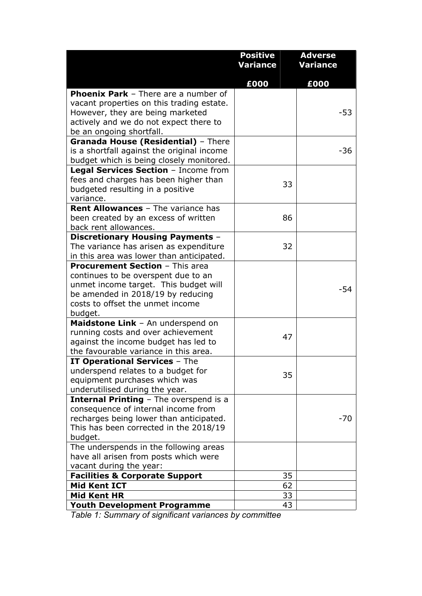|                                                                                  | <b>Positive</b> | <b>Adverse</b>  |
|----------------------------------------------------------------------------------|-----------------|-----------------|
|                                                                                  | Variance        | <b>Variance</b> |
|                                                                                  | £000            | £000            |
| <b>Phoenix Park</b> - There are a number of                                      |                 |                 |
| vacant properties on this trading estate.                                        |                 |                 |
| However, they are being marketed                                                 |                 | -53             |
| actively and we do not expect there to                                           |                 |                 |
| be an ongoing shortfall.                                                         |                 |                 |
| Granada House (Residential) - There                                              |                 |                 |
| is a shortfall against the original income                                       |                 | $-36$           |
| budget which is being closely monitored.<br>Legal Services Section - Income from |                 |                 |
| fees and charges has been higher than                                            |                 |                 |
| budgeted resulting in a positive                                                 | 33              |                 |
| variance.                                                                        |                 |                 |
| <b>Rent Allowances</b> - The variance has                                        |                 |                 |
| been created by an excess of written                                             | 86              |                 |
| back rent allowances.                                                            |                 |                 |
| <b>Discretionary Housing Payments -</b>                                          |                 |                 |
| The variance has arisen as expenditure                                           | 32              |                 |
| in this area was lower than anticipated.                                         |                 |                 |
| <b>Procurement Section - This area</b>                                           |                 |                 |
| continues to be overspent due to an                                              |                 |                 |
| unmet income target. This budget will                                            |                 | $-54$           |
| be amended in 2018/19 by reducing                                                |                 |                 |
| costs to offset the unmet income                                                 |                 |                 |
| budget.<br>Maidstone Link - An underspend on                                     |                 |                 |
| running costs and over achievement                                               |                 |                 |
| against the income budget has led to                                             | 47              |                 |
| the favourable variance in this area.                                            |                 |                 |
| <b>IT Operational Services - The</b>                                             |                 |                 |
| underspend relates to a budget for                                               |                 |                 |
| equipment purchases which was                                                    | 35              |                 |
| underutilised during the year.                                                   |                 |                 |
| <b>Internal Printing</b> - The overspend is a                                    |                 |                 |
| consequence of internal income from                                              |                 |                 |
| recharges being lower than anticipated.                                          |                 | -70             |
| This has been corrected in the 2018/19                                           |                 |                 |
| budget.                                                                          |                 |                 |
| The underspends in the following areas                                           |                 |                 |
| have all arisen from posts which were                                            |                 |                 |
| vacant during the year:                                                          |                 |                 |
| <b>Facilities &amp; Corporate Support</b><br><b>Mid Kent ICT</b>                 | 35<br>62        |                 |
| <b>Mid Kent HR</b>                                                               | 33              |                 |
| <b>Youth Development Programme</b>                                               | 43              |                 |
|                                                                                  |                 |                 |

*Table 1: Summary of significant variances by committee*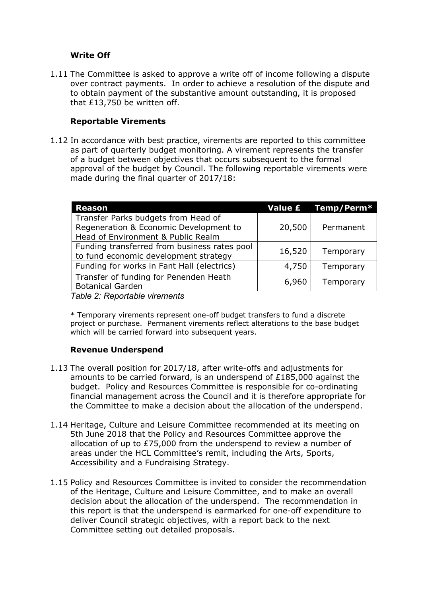#### **Write Off**

1.11 The Committee is asked to approve a write off of income following a dispute over contract payments. In order to achieve a resolution of the dispute and to obtain payment of the substantive amount outstanding, it is proposed that £13,750 be written off.

#### **Reportable Virements**

1.12 In accordance with best practice, virements are reported to this committee as part of quarterly budget monitoring. A virement represents the transfer of a budget between objectives that occurs subsequent to the formal approval of the budget by Council. The following reportable virements were made during the final quarter of 2017/18:

| <b>Reason</b>                                                                                                       |        | Value £ Temp/Perm* |
|---------------------------------------------------------------------------------------------------------------------|--------|--------------------|
| Transfer Parks budgets from Head of<br>Regeneration & Economic Development to<br>Head of Environment & Public Realm | 20,500 | Permanent          |
| Funding transferred from business rates pool<br>to fund economic development strategy                               | 16,520 | Temporary          |
| Funding for works in Fant Hall (electrics)                                                                          | 4,750  | Temporary          |
| Transfer of funding for Penenden Heath<br><b>Botanical Garden</b>                                                   | 6,960  | Temporary          |
| Tahle 2: Renortahle virements                                                                                       |        |                    |

*Table 2: Reportable virements*

\* Temporary virements represent one-off budget transfers to fund a discrete project or purchase. Permanent virements reflect alterations to the base budget which will be carried forward into subsequent years.

# **Revenue Underspend**

- 1.13 The overall position for 2017/18, after write-offs and adjustments for amounts to be carried forward, is an underspend of £185,000 against the budget. Policy and Resources Committee is responsible for co-ordinating financial management across the Council and it is therefore appropriate for the Committee to make a decision about the allocation of the underspend.
- 1.14 Heritage, Culture and Leisure Committee recommended at its meeting on 5th June 2018 that the Policy and Resources Committee approve the allocation of up to £75,000 from the underspend to review a number of areas under the HCL Committee's remit, including the Arts, Sports, Accessibility and a Fundraising Strategy.
- 1.15 Policy and Resources Committee is invited to consider the recommendation of the Heritage, Culture and Leisure Committee, and to make an overall decision about the allocation of the underspend. The recommendation in this report is that the underspend is earmarked for one-off expenditure to deliver Council strategic objectives, with a report back to the next Committee setting out detailed proposals.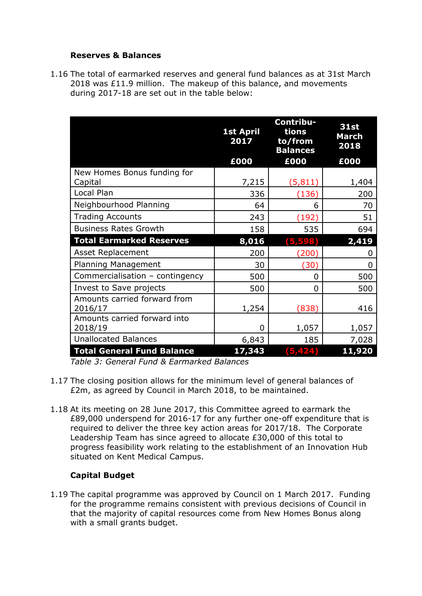#### **Reserves & Balances**

1.16 The total of earmarked reserves and general fund balances as at 31st March 2018 was £11.9 million. The makeup of this balance, and movements during 2017-18 are set out in the table below:

|                                         | <b>1st April</b><br>2017 | Contribu-<br>tions<br>to/from<br><b>Balances</b> | <b>31st</b><br><b>March</b><br>2018 |
|-----------------------------------------|--------------------------|--------------------------------------------------|-------------------------------------|
|                                         | £000                     | £000                                             | £000                                |
| New Homes Bonus funding for             |                          |                                                  |                                     |
| Capital                                 | 7,215                    | (5, 811)                                         | 1,404                               |
| Local Plan                              | 336                      | (136)                                            | 200                                 |
| Neighbourhood Planning                  | 64                       | 6                                                | 70                                  |
| <b>Trading Accounts</b>                 | 243                      | (192)                                            | 51                                  |
| <b>Business Rates Growth</b>            | 158                      | 535                                              | 694                                 |
| <b>Total Earmarked Reserves</b>         | 8,016                    | (5,598)                                          | 2,419                               |
| Asset Replacement                       | 200                      | (200)                                            | O                                   |
| <b>Planning Management</b>              | 30                       | (30)                                             | 0                                   |
| Commercialisation - contingency         | 500                      | 0                                                | 500                                 |
| Invest to Save projects                 | 500                      | 0                                                | 500                                 |
| Amounts carried forward from<br>2016/17 | 1,254                    | (838)                                            | 416                                 |
| Amounts carried forward into<br>2018/19 | 0                        | 1,057                                            | 1,057                               |
| <b>Unallocated Balances</b>             | 6,843                    | 185                                              | 7,028                               |
| <b>Total General Fund Balance</b>       | 17,343                   | (5, 424)                                         | 11,920                              |

*Table 3: General Fund & Earmarked Balances*

- 1.17 The closing position allows for the minimum level of general balances of £2m, as agreed by Council in March 2018, to be maintained.
- 1.18 At its meeting on 28 June 2017, this Committee agreed to earmark the £89,000 underspend for 2016-17 for any further one-off expenditure that is required to deliver the three key action areas for 2017/18. The Corporate Leadership Team has since agreed to allocate £30,000 of this total to progress feasibility work relating to the establishment of an Innovation Hub situated on Kent Medical Campus.

#### **Capital Budget**

1.19 The capital programme was approved by Council on 1 March 2017. Funding for the programme remains consistent with previous decisions of Council in that the majority of capital resources come from New Homes Bonus along with a small grants budget.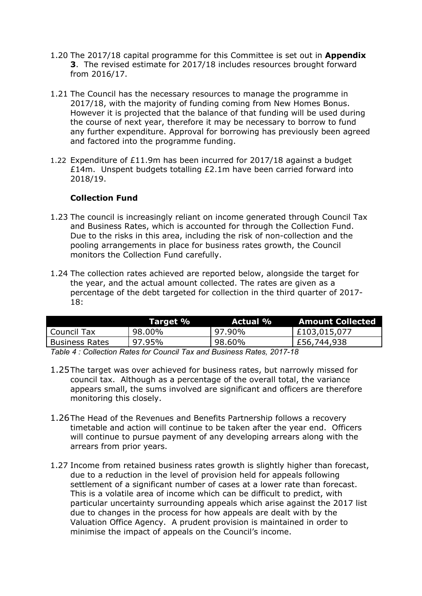- 1.20 The 2017/18 capital programme for this Committee is set out in **Appendix 3**.The revised estimate for 2017/18 includes resources brought forward from 2016/17.
- 1.21 The Council has the necessary resources to manage the programme in 2017/18, with the majority of funding coming from New Homes Bonus. However it is projected that the balance of that funding will be used during the course of next year, therefore it may be necessary to borrow to fund any further expenditure. Approval for borrowing has previously been agreed and factored into the programme funding.
- 1.22 Expenditure of £11.9m has been incurred for 2017/18 against a budget £14m. Unspent budgets totalling £2.1m have been carried forward into 2018/19.

#### **Collection Fund**

- 1.23 The council is increasingly reliant on income generated through Council Tax and Business Rates, which is accounted for through the Collection Fund. Due to the risks in this area, including the risk of non-collection and the pooling arrangements in place for business rates growth, the Council monitors the Collection Fund carefully.
- 1.24 The collection rates achieved are reported below, alongside the target for the year, and the actual amount collected. The rates are given as a percentage of the debt targeted for collection in the third quarter of 2017- 18:

|                       | Target %                                                             | <b>Actual %</b> | <b>Amount Collected</b> |  |  |  |  |  |
|-----------------------|----------------------------------------------------------------------|-----------------|-------------------------|--|--|--|--|--|
| Council Tax           | 98.00%                                                               | $97.90\%$       | E103,015,077            |  |  |  |  |  |
| <b>Business Rates</b> | 97.95%                                                               | 98.60%          | £56,744,938             |  |  |  |  |  |
|                       | Teble 1 : Cellesting Detector Council Toy and Ducinese DetectO017 10 |                 |                         |  |  |  |  |  |

*Table 4 : Collection Rates for Council Tax and Business Rates, 2017-18*

- 1.25The target was over achieved for business rates, but narrowly missed for council tax. Although as a percentage of the overall total, the variance appears small, the sums involved are significant and officers are therefore monitoring this closely.
- 1.26The Head of the Revenues and Benefits Partnership follows a recovery timetable and action will continue to be taken after the year end. Officers will continue to pursue payment of any developing arrears along with the arrears from prior years.
- 1.27 Income from retained business rates growth is slightly higher than forecast, due to a reduction in the level of provision held for appeals following settlement of a significant number of cases at a lower rate than forecast. This is a volatile area of income which can be difficult to predict, with particular uncertainty surrounding appeals which arise against the 2017 list due to changes in the process for how appeals are dealt with by the Valuation Office Agency. A prudent provision is maintained in order to minimise the impact of appeals on the Council's income.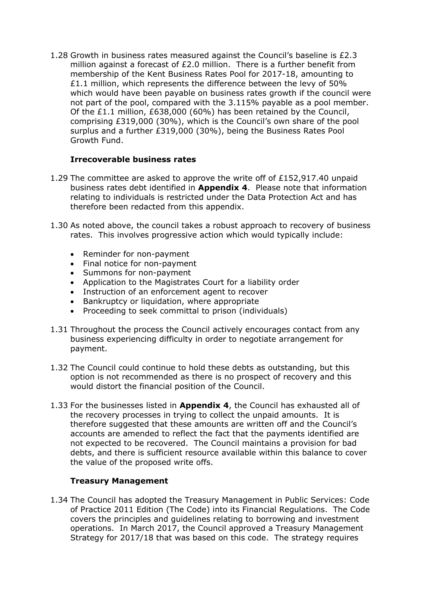1.28 Growth in business rates measured against the Council's baseline is £2.3 million against a forecast of £2.0 million. There is a further benefit from membership of the Kent Business Rates Pool for 2017-18, amounting to  $£1.1$  million, which represents the difference between the levy of  $50\%$ which would have been payable on business rates growth if the council were not part of the pool, compared with the 3.115% payable as a pool member. Of the £1.1 million, £638,000 (60%) has been retained by the Council, comprising £319,000 (30%), which is the Council's own share of the pool surplus and a further £319,000 (30%), being the Business Rates Pool Growth Fund.

#### **Irrecoverable business rates**

- 1.29 The committee are asked to approve the write off of £152,917.40 unpaid business rates debt identified in **Appendix 4**. Please note that information relating to individuals is restricted under the Data Protection Act and has therefore been redacted from this appendix.
- 1.30 As noted above, the council takes a robust approach to recovery of business rates. This involves progressive action which would typically include:
	- Reminder for non-payment
	- Final notice for non-payment
	- Summons for non-payment
	- Application to the Magistrates Court for a liability order
	- Instruction of an enforcement agent to recover
	- Bankruptcy or liquidation, where appropriate
	- Proceeding to seek committal to prison (individuals)
- 1.31 Throughout the process the Council actively encourages contact from any business experiencing difficulty in order to negotiate arrangement for payment.
- 1.32 The Council could continue to hold these debts as outstanding, but this option is not recommended as there is no prospect of recovery and this would distort the financial position of the Council.
- 1.33 For the businesses listed in **Appendix 4**, the Council has exhausted all of the recovery processes in trying to collect the unpaid amounts. It is therefore suggested that these amounts are written off and the Council's accounts are amended to reflect the fact that the payments identified are not expected to be recovered. The Council maintains a provision for bad debts, and there is sufficient resource available within this balance to cover the value of the proposed write offs.

#### **Treasury Management**

1.34 The Council has adopted the Treasury Management in Public Services: Code of Practice 2011 Edition (The Code) into its Financial Regulations. The Code covers the principles and guidelines relating to borrowing and investment operations. In March 2017, the Council approved a Treasury Management Strategy for 2017/18 that was based on this code. The strategy requires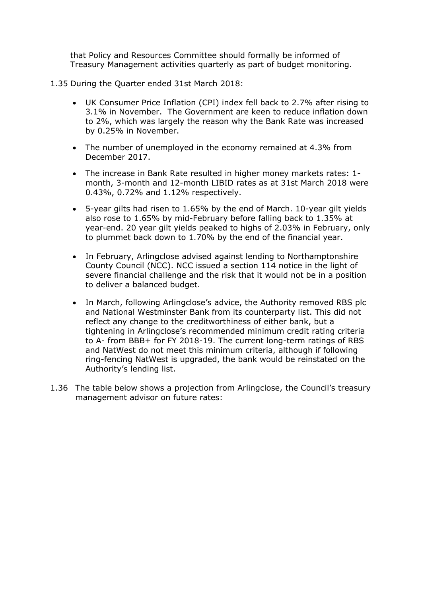that Policy and Resources Committee should formally be informed of Treasury Management activities quarterly as part of budget monitoring.

- 1.35 During the Quarter ended 31st March 2018:
	- UK Consumer Price Inflation (CPI) index fell back to 2.7% after rising to 3.1% in November. The Government are keen to reduce inflation down to 2%, which was largely the reason why the Bank Rate was increased by 0.25% in November.
	- The number of unemployed in the economy remained at 4.3% from December 2017.
	- The increase in Bank Rate resulted in higher money markets rates: 1 month, 3-month and 12-month LIBID rates as at 31st March 2018 were 0.43%, 0.72% and 1.12% respectively.
	- 5-year gilts had risen to 1.65% by the end of March. 10-year gilt yields also rose to 1.65% by mid-February before falling back to 1.35% at year-end. 20 year gilt yields peaked to highs of 2.03% in February, only to plummet back down to 1.70% by the end of the financial year.
	- In February, Arlingclose advised against lending to Northamptonshire County Council (NCC). NCC issued a section 114 notice in the light of severe financial challenge and the risk that it would not be in a position to deliver a balanced budget.
	- In March, following Arlingclose's advice, the Authority removed RBS plc and National Westminster Bank from its counterparty list. This did not reflect any change to the creditworthiness of either bank, but a tightening in Arlingclose's recommended minimum credit rating criteria to A- from BBB+ for FY 2018-19. The current long-term ratings of RBS and NatWest do not meet this minimum criteria, although if following ring-fencing NatWest is upgraded, the bank would be reinstated on the Authority's lending list.
- 1.36 The table below shows a projection from Arlingclose, the Council's treasury management advisor on future rates: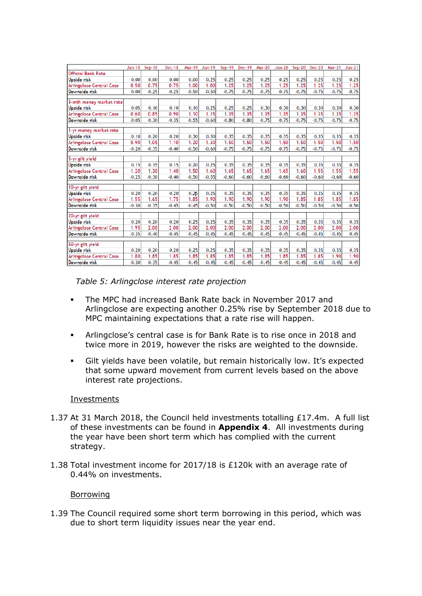|                                           | <b>Jun-18</b>   | Sep-18          | <b>Dec-18</b>   | <b>Mar-19</b>   | <b>Jun-19</b>   | Sep-19          | Dec-19          | <b>Mar-20</b>   | <b>Jun-20</b>   | $Sep-20$        | <b>Dec-20</b>   | <b>Mar-21</b>   | $Jun-21$        |
|-------------------------------------------|-----------------|-----------------|-----------------|-----------------|-----------------|-----------------|-----------------|-----------------|-----------------|-----------------|-----------------|-----------------|-----------------|
| <b>Official Bank Rate</b>                 |                 |                 |                 |                 |                 |                 |                 |                 |                 |                 |                 |                 |                 |
| Upside risk                               | 0.00            | 0.00            | 0.00            | 0.00            | 0.25            | 0.25            | 0.25            | 0.25            | 0.25            | 0.25            | 0.25            | 0.25            | 0.25            |
| Arlingclose Central Case                  | 0.50            | 0.75            | 0.75            | 1.00            | 1.00            | 1.25            | 1.25            | 1.25            | 1.25            | 1.25            | 1.25            | 1.25            | 1.25            |
| Downside risk                             | 0.00            | $-0.25$         | $-0.25$         | $-0.50$         | $-0.50$         | $-0.75$         | $-0.75$         | $-0.75$         | $-0.75$         | $-0.75$         | $-0.75$         | $-0.75$         | $-0.75$         |
|                                           |                 |                 |                 |                 |                 |                 |                 |                 |                 |                 |                 |                 |                 |
| 3-mth money market rate<br>Upside risk    | 0.05            | 0.10            | 0.10            | 0.10            | 0.25            | 0.25            | 0.25            | 0.30            | 0.30            | 0.30            | 0.30            | 0.30            | 0.30            |
| Arlingclose Central Case                  | 0.60            | 0.85            | 0.90            | 1.10            | 1.15            | 1.35            | 1.35            | 1.35            | 1.35            | 1.35            | 1.35            | 1.35            | 1.35            |
| Downside risk                             | $-0.05$         | $-0.30$         | $-0.35$         | $-0.55$         | $-0.60$         | $-0.80$         | $-0.80$         | $-0.75$         | $-0.75$         | $-0.75$         | $-0.75$         | $-0.75$         | $-0.75$         |
|                                           |                 |                 |                 |                 |                 |                 |                 |                 |                 |                 |                 |                 |                 |
| 1-yr money market rate                    |                 |                 |                 |                 |                 |                 |                 |                 |                 |                 |                 |                 |                 |
| Upside risk                               | 0.10            | 0.20            | 0.20            | 0.30            | 0.30            | 0.35            | 0.35            | 0.35            | 0.35            | 0.35            | 0.35            | 0.35            | 0.35            |
| Arlingclose Central Case                  | 0.90            | 1.05            | 1.10            | 1.20            | 1.30            | 1.50            | 1.50            | 1.50            | 1.50            | 1.50            | 1.50            | 1.50            | 1.50            |
| Downside risk                             | $-0.20$         | $-0.35$         | $-0.40$         | $-0.50$         | $-0.60$         | $-0.75$         | $-0.75$         | $-0.75$         | $-0.75$         | $-0.75$         | $-0.75$         | $-0.75$         | $-0.75$         |
|                                           |                 |                 |                 |                 |                 |                 |                 |                 |                 |                 |                 |                 |                 |
| 5-yr gilt yield                           |                 |                 |                 |                 |                 |                 |                 |                 |                 |                 |                 |                 |                 |
| Upside risk                               | 0.15            | 0.15            | 0.15            | 0.20            | 0.25            | 0.35            | 0.35            | 0.35            | 0.35            | 0.35            | 0.35            | 0.35            | 0.35            |
| Arlingclose Central Case<br>Downside risk | 1.20<br>$-0.25$ | 1.30<br>$-0.30$ | 1.40<br>$-0.40$ | 1.50<br>$-0.50$ | 1.60<br>$-0.55$ | 1.65<br>$-0.60$ | 1.65<br>$-0.60$ | 1.65<br>$-0.60$ | 1.65<br>$-0.60$ | 1.60<br>$-0.60$ | 1.55<br>$-0.60$ | 1.55<br>$-0.60$ | 1.55<br>$-0.60$ |
|                                           |                 |                 |                 |                 |                 |                 |                 |                 |                 |                 |                 |                 |                 |
| 10-yr gilt yield                          |                 |                 |                 |                 |                 |                 |                 |                 |                 |                 |                 |                 |                 |
| Upside risk                               | 0.20            | 0.20            | 0.20            | 0.25            | 0.25            | 0.35            | 0.35            | 0.35            | 0.35            | 0.35            | 0.35            | 0.35            | 0.35            |
| Arlingclose Central Case                  | 1.55            | 1.65            | 1.75            | 1.85            | 1.90            | 1.90            | 1.90            | 1.90            | 1.90            | 1.85            | 1.85            | 1.85            | 1.85            |
| Downside risk                             | $-0.30$         | $-0.35$         | $-0.45$         | $-0.45$         | $-0.50$         | $-0.50$         | $-0.50$         | $-0.50$         | $-0.50$         | $-0.50$         | $-0.50$         | $-0.50$         | $-0.50$         |
|                                           |                 |                 |                 |                 |                 |                 |                 |                 |                 |                 |                 |                 |                 |
| 20-yr gilt yield                          |                 |                 |                 |                 |                 |                 |                 |                 |                 |                 |                 |                 |                 |
| Upside risk                               | 0.20<br>1.95    | 0.20<br>2.00    | 0.20<br>2.00    | 0.25<br>2.00    | 0.25<br>2.00    | 0.35<br>2.00    | 0.35<br>2.00    | 0.35<br>2.00    | 0.35<br>2.00    | 0.35<br>2.00    | 0.35<br>2.00    | 0.35<br>2.00    | 0.35<br>2.00    |
| Arlingclose Central Case                  |                 |                 |                 |                 |                 |                 |                 |                 |                 |                 |                 |                 |                 |
| Downside risk                             | $-0.35$         | $-0.40$         | $-0.45$         | $-0.45$         | $-0.45$         | $-0.45$         | $-0.45$         | $-0.45$         | $-0.45$         | $-0.45$         | $-0.45$         | $-0.45$         | $-0.45$         |
| 50-yr gilt yield                          |                 |                 |                 |                 |                 |                 |                 |                 |                 |                 |                 |                 |                 |
| Upside risk                               | 0.20            | 0.20            | 0.20            | 0.25            | 0.25            | 0.35            | 0.35            | 0.35            | 0.35            | 0.35            | 0.35            | 0.35            | 0.35            |
| Arlingclose Central Case                  | 1.80            | 1.85            | 1.85            | 1.85            | 1.85            | 1.85            | 1.85            | 1.85            | 1.85            | 1.85            | 1.85            | 1.90            | 1.90            |
| Downside risk                             | $-0.30$         | $-0.35$         | $-0.45$         | $-0.45$         | $-0.45$         | $-0.45$         | $-0.45$         | $-0.45$         | $-0.45$         | $-0.45$         | $-0.45$         | $-0.45$         | $-0.45$         |

*Table 5: Arlingclose interest rate projection*

- The MPC had increased Bank Rate back in November 2017 and Arlingclose are expecting another 0.25% rise by September 2018 due to MPC maintaining expectations that a rate rise will happen.
- Arlingclose's central case is for Bank Rate is to rise once in 2018 and twice more in 2019, however the risks are weighted to the downside.
- Gilt yields have been volatile, but remain historically low. It's expected that some upward movement from current levels based on the above interest rate projections.

#### Investments

- 1.37 At 31 March 2018, the Council held investments totalling £17.4m. A full list of these investments can be found in **Appendix 4**. All investments during the year have been short term which has complied with the current strategy.
- 1.38 Total investment income for 2017/18 is £120k with an average rate of 0.44% on investments.

#### Borrowing

1.39 The Council required some short term borrowing in this period, which was due to short term liquidity issues near the year end.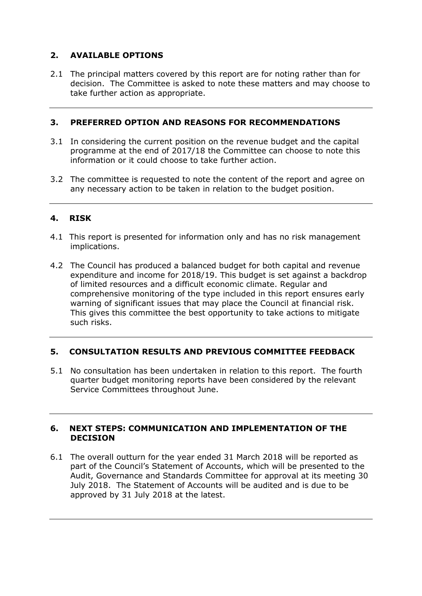# **2. AVAILABLE OPTIONS**

2.1 The principal matters covered by this report are for noting rather than for decision. The Committee is asked to note these matters and may choose to take further action as appropriate.

#### **3. PREFERRED OPTION AND REASONS FOR RECOMMENDATIONS**

- 3.1 In considering the current position on the revenue budget and the capital programme at the end of 2017/18 the Committee can choose to note this information or it could choose to take further action.
- 3.2 The committee is requested to note the content of the report and agree on any necessary action to be taken in relation to the budget position.

# **4. RISK**

- 4.1 This report is presented for information only and has no risk management implications.
- 4.2 The Council has produced a balanced budget for both capital and revenue expenditure and income for 2018/19. This budget is set against a backdrop of limited resources and a difficult economic climate. Regular and comprehensive monitoring of the type included in this report ensures early warning of significant issues that may place the Council at financial risk. This gives this committee the best opportunity to take actions to mitigate such risks.

# **5. CONSULTATION RESULTS AND PREVIOUS COMMITTEE FEEDBACK**

5.1 No consultation has been undertaken in relation to this report. The fourth quarter budget monitoring reports have been considered by the relevant Service Committees throughout June.

#### **6. NEXT STEPS: COMMUNICATION AND IMPLEMENTATION OF THE DECISION**

6.1 The overall outturn for the year ended 31 March 2018 will be reported as part of the Council's Statement of Accounts, which will be presented to the Audit, Governance and Standards Committee for approval at its meeting 30 July 2018. The Statement of Accounts will be audited and is due to be approved by 31 July 2018 at the latest.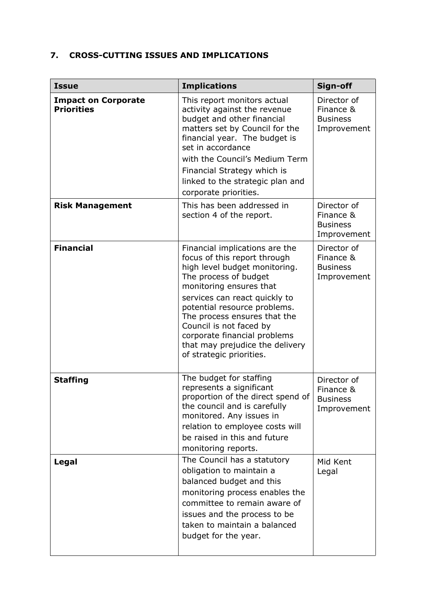# **7. CROSS-CUTTING ISSUES AND IMPLICATIONS**

| <b>Issue</b>                                    | <b>Implications</b>                                                                                                                                                                                                                                                                                                                                                            | Sign-off                                                   |
|-------------------------------------------------|--------------------------------------------------------------------------------------------------------------------------------------------------------------------------------------------------------------------------------------------------------------------------------------------------------------------------------------------------------------------------------|------------------------------------------------------------|
| <b>Impact on Corporate</b><br><b>Priorities</b> | This report monitors actual<br>activity against the revenue<br>budget and other financial<br>matters set by Council for the<br>financial year. The budget is<br>set in accordance<br>with the Council's Medium Term<br>Financial Strategy which is<br>linked to the strategic plan and<br>corporate priorities.                                                                | Director of<br>Finance &<br><b>Business</b><br>Improvement |
| <b>Risk Management</b>                          | This has been addressed in<br>section 4 of the report.                                                                                                                                                                                                                                                                                                                         | Director of<br>Finance &<br><b>Business</b><br>Improvement |
| <b>Financial</b>                                | Financial implications are the<br>focus of this report through<br>high level budget monitoring.<br>The process of budget<br>monitoring ensures that<br>services can react quickly to<br>potential resource problems.<br>The process ensures that the<br>Council is not faced by<br>corporate financial problems<br>that may prejudice the delivery<br>of strategic priorities. | Director of<br>Finance &<br><b>Business</b><br>Improvement |
| <b>Staffing</b>                                 | The budget for staffing<br>represents a significant<br>proportion of the direct spend of<br>the council and is carefully<br>monitored. Any issues in<br>relation to employee costs will<br>be raised in this and future<br>monitoring reports.                                                                                                                                 | Director of<br>Finance &<br><b>Business</b><br>Improvement |
| Legal                                           | The Council has a statutory<br>obligation to maintain a<br>balanced budget and this<br>monitoring process enables the<br>committee to remain aware of<br>issues and the process to be<br>taken to maintain a balanced<br>budget for the year.                                                                                                                                  | Mid Kent<br>Legal                                          |